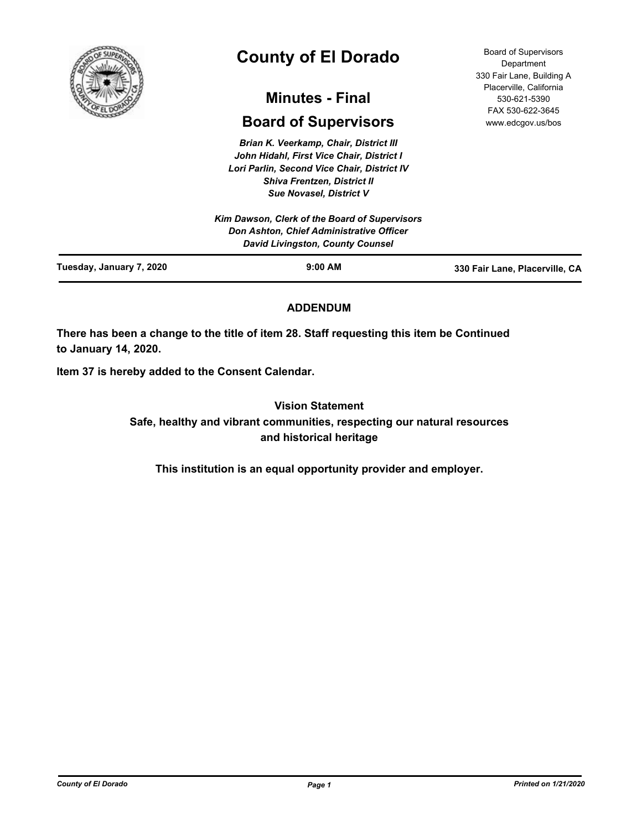

# **County of El Dorado**

# **Minutes - Final**

# **Board of Supervisors**

*Brian K. Veerkamp, Chair, District III John Hidahl, First Vice Chair, District I Lori Parlin, Second Vice Chair, District IV Shiva Frentzen, District II Sue Novasel, District V*

Board of Supervisors **Department** 330 Fair Lane, Building A Placerville, California 530-621-5390 FAX 530-622-3645 www.edcgov.us/bos

# **ADDENDUM**

**There has been a change to the title of item 28. Staff requesting this item be Continued to January 14, 2020.**

**Item 37 is hereby added to the Consent Calendar.**

**Vision Statement Safe, healthy and vibrant communities, respecting our natural resources and historical heritage**

**This institution is an equal opportunity provider and employer.**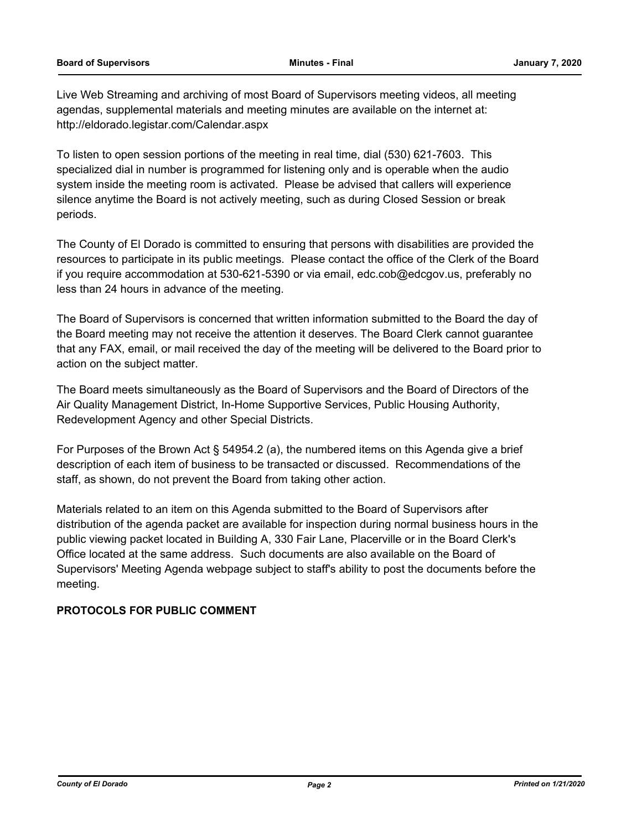Live Web Streaming and archiving of most Board of Supervisors meeting videos, all meeting agendas, supplemental materials and meeting minutes are available on the internet at: http://eldorado.legistar.com/Calendar.aspx

To listen to open session portions of the meeting in real time, dial (530) 621-7603. This specialized dial in number is programmed for listening only and is operable when the audio system inside the meeting room is activated. Please be advised that callers will experience silence anytime the Board is not actively meeting, such as during Closed Session or break periods.

The County of El Dorado is committed to ensuring that persons with disabilities are provided the resources to participate in its public meetings. Please contact the office of the Clerk of the Board if you require accommodation at 530-621-5390 or via email, edc.cob@edcgov.us, preferably no less than 24 hours in advance of the meeting.

The Board of Supervisors is concerned that written information submitted to the Board the day of the Board meeting may not receive the attention it deserves. The Board Clerk cannot guarantee that any FAX, email, or mail received the day of the meeting will be delivered to the Board prior to action on the subject matter.

The Board meets simultaneously as the Board of Supervisors and the Board of Directors of the Air Quality Management District, In-Home Supportive Services, Public Housing Authority, Redevelopment Agency and other Special Districts.

For Purposes of the Brown Act § 54954.2 (a), the numbered items on this Agenda give a brief description of each item of business to be transacted or discussed. Recommendations of the staff, as shown, do not prevent the Board from taking other action.

Materials related to an item on this Agenda submitted to the Board of Supervisors after distribution of the agenda packet are available for inspection during normal business hours in the public viewing packet located in Building A, 330 Fair Lane, Placerville or in the Board Clerk's Office located at the same address. Such documents are also available on the Board of Supervisors' Meeting Agenda webpage subject to staff's ability to post the documents before the meeting.

## **PROTOCOLS FOR PUBLIC COMMENT**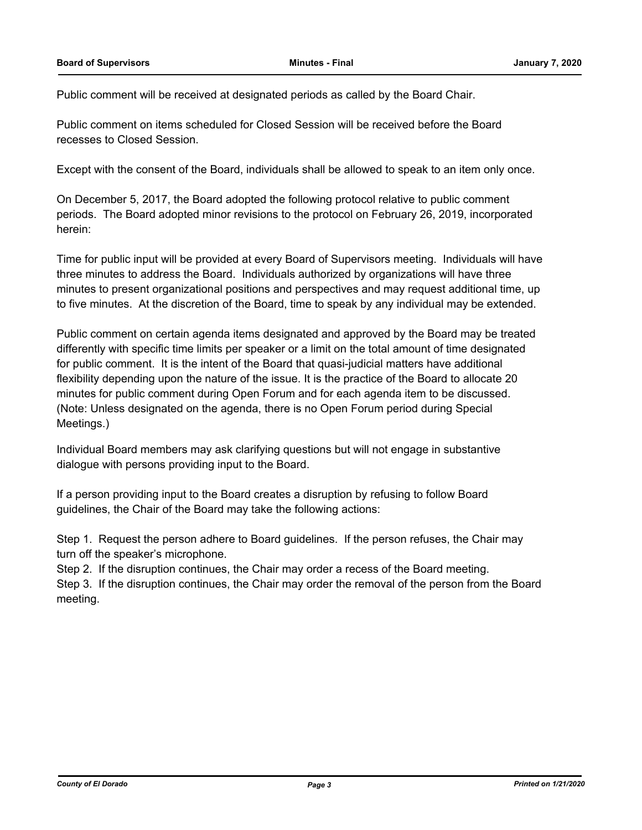Public comment will be received at designated periods as called by the Board Chair.

Public comment on items scheduled for Closed Session will be received before the Board recesses to Closed Session.

Except with the consent of the Board, individuals shall be allowed to speak to an item only once.

On December 5, 2017, the Board adopted the following protocol relative to public comment periods. The Board adopted minor revisions to the protocol on February 26, 2019, incorporated herein:

Time for public input will be provided at every Board of Supervisors meeting. Individuals will have three minutes to address the Board. Individuals authorized by organizations will have three minutes to present organizational positions and perspectives and may request additional time, up to five minutes. At the discretion of the Board, time to speak by any individual may be extended.

Public comment on certain agenda items designated and approved by the Board may be treated differently with specific time limits per speaker or a limit on the total amount of time designated for public comment. It is the intent of the Board that quasi-judicial matters have additional flexibility depending upon the nature of the issue. It is the practice of the Board to allocate 20 minutes for public comment during Open Forum and for each agenda item to be discussed. (Note: Unless designated on the agenda, there is no Open Forum period during Special Meetings.)

Individual Board members may ask clarifying questions but will not engage in substantive dialogue with persons providing input to the Board.

If a person providing input to the Board creates a disruption by refusing to follow Board guidelines, the Chair of the Board may take the following actions:

Step 1. Request the person adhere to Board guidelines. If the person refuses, the Chair may turn off the speaker's microphone.

Step 2. If the disruption continues, the Chair may order a recess of the Board meeting.

Step 3. If the disruption continues, the Chair may order the removal of the person from the Board meeting.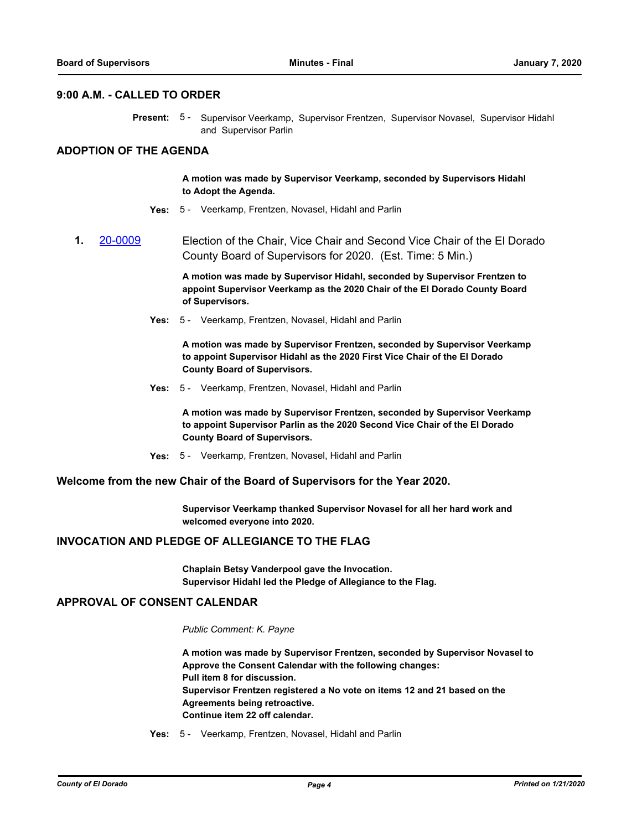#### **9:00 A.M. - CALLED TO ORDER**

Present: 5 - Supervisor Veerkamp, Supervisor Frentzen, Supervisor Novasel, Supervisor Hidahl and Supervisor Parlin

## **ADOPTION OF THE AGENDA**

#### **A motion was made by Supervisor Veerkamp, seconded by Supervisors Hidahl to Adopt the Agenda.**

- **Yes:** 5 Veerkamp, Frentzen, Novasel, Hidahl and Parlin
- **1. [20-0009](http://eldorado.legistar.com/gateway.aspx?m=l&id=/matter.aspx?key=27213)** Election of the Chair, Vice Chair and Second Vice Chair of the El Dorado County Board of Supervisors for 2020. (Est. Time: 5 Min.)

**A motion was made by Supervisor Hidahl, seconded by Supervisor Frentzen to appoint Supervisor Veerkamp as the 2020 Chair of the El Dorado County Board of Supervisors.**

**Yes:** 5 - Veerkamp, Frentzen, Novasel, Hidahl and Parlin

**A motion was made by Supervisor Frentzen, seconded by Supervisor Veerkamp to appoint Supervisor Hidahl as the 2020 First Vice Chair of the El Dorado County Board of Supervisors.**

**Yes:** 5 - Veerkamp, Frentzen, Novasel, Hidahl and Parlin

**A motion was made by Supervisor Frentzen, seconded by Supervisor Veerkamp to appoint Supervisor Parlin as the 2020 Second Vice Chair of the El Dorado County Board of Supervisors.**

**Yes:** 5 - Veerkamp, Frentzen, Novasel, Hidahl and Parlin

#### **Welcome from the new Chair of the Board of Supervisors for the Year 2020.**

**Supervisor Veerkamp thanked Supervisor Novasel for all her hard work and welcomed everyone into 2020.**

#### **INVOCATION AND PLEDGE OF ALLEGIANCE TO THE FLAG**

**Chaplain Betsy Vanderpool gave the Invocation. Supervisor Hidahl led the Pledge of Allegiance to the Flag.**

### **APPROVAL OF CONSENT CALENDAR**

#### *Public Comment: K. Payne*

**A motion was made by Supervisor Frentzen, seconded by Supervisor Novasel to Approve the Consent Calendar with the following changes: Pull item 8 for discussion. Supervisor Frentzen registered a No vote on items 12 and 21 based on the Agreements being retroactive. Continue item 22 off calendar.**

**Yes:** 5 - Veerkamp, Frentzen, Novasel, Hidahl and Parlin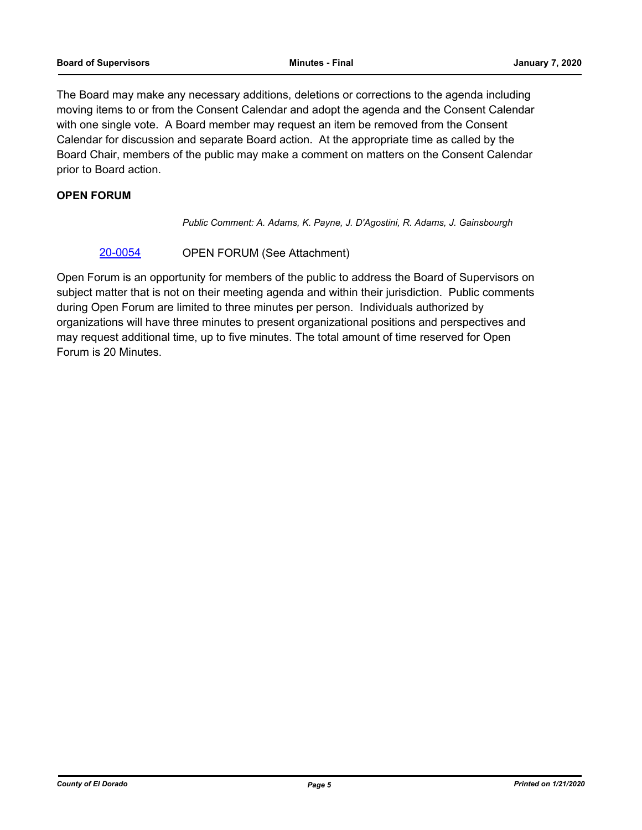The Board may make any necessary additions, deletions or corrections to the agenda including moving items to or from the Consent Calendar and adopt the agenda and the Consent Calendar with one single vote. A Board member may request an item be removed from the Consent Calendar for discussion and separate Board action. At the appropriate time as called by the Board Chair, members of the public may make a comment on matters on the Consent Calendar prior to Board action.

## **OPEN FORUM**

*Public Comment: A. Adams, K. Payne, J. D'Agostini, R. Adams, J. Gainsbourgh*

### [20-0054](http://eldorado.legistar.com/gateway.aspx?m=l&id=/matter.aspx?key=27259) OPEN FORUM (See Attachment)

Open Forum is an opportunity for members of the public to address the Board of Supervisors on subject matter that is not on their meeting agenda and within their jurisdiction. Public comments during Open Forum are limited to three minutes per person. Individuals authorized by organizations will have three minutes to present organizational positions and perspectives and may request additional time, up to five minutes. The total amount of time reserved for Open Forum is 20 Minutes.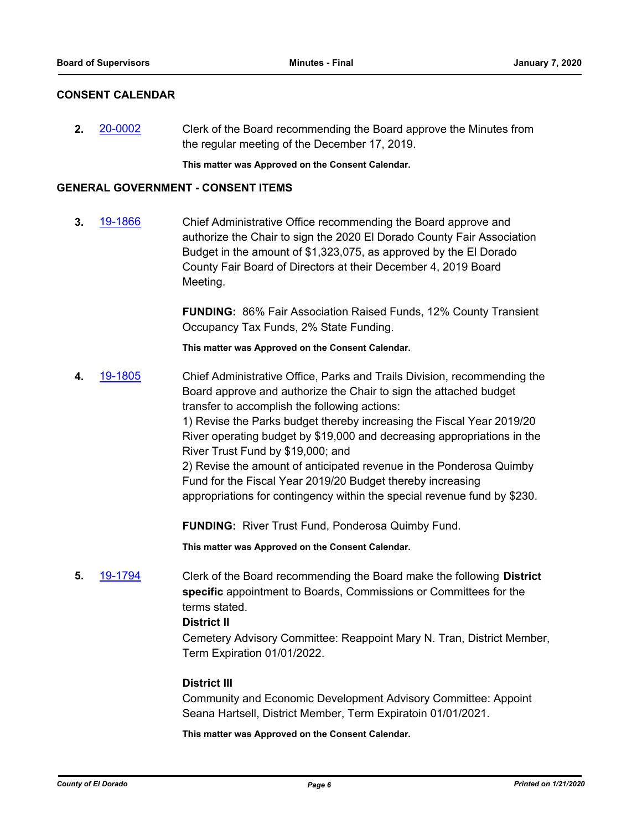## **CONSENT CALENDAR**

**2.** [20-0002](http://eldorado.legistar.com/gateway.aspx?m=l&id=/matter.aspx?key=27206) Clerk of the Board recommending the Board approve the Minutes from the regular meeting of the December 17, 2019.

**This matter was Approved on the Consent Calendar.**

### **GENERAL GOVERNMENT - CONSENT ITEMS**

**3.** [19-1866](http://eldorado.legistar.com/gateway.aspx?m=l&id=/matter.aspx?key=27190) Chief Administrative Office recommending the Board approve and authorize the Chair to sign the 2020 El Dorado County Fair Association Budget in the amount of \$1,323,075, as approved by the El Dorado County Fair Board of Directors at their December 4, 2019 Board Meeting.

> **FUNDING:** 86% Fair Association Raised Funds, 12% County Transient Occupancy Tax Funds, 2% State Funding.

**This matter was Approved on the Consent Calendar.**

**4.** [19-1805](http://eldorado.legistar.com/gateway.aspx?m=l&id=/matter.aspx?key=27129) Chief Administrative Office, Parks and Trails Division, recommending the Board approve and authorize the Chair to sign the attached budget transfer to accomplish the following actions:

1) Revise the Parks budget thereby increasing the Fiscal Year 2019/20 River operating budget by \$19,000 and decreasing appropriations in the River Trust Fund by \$19,000; and

2) Revise the amount of anticipated revenue in the Ponderosa Quimby Fund for the Fiscal Year 2019/20 Budget thereby increasing appropriations for contingency within the special revenue fund by \$230.

**FUNDING:** River Trust Fund, Ponderosa Quimby Fund.

**This matter was Approved on the Consent Calendar.**

**5.** [19-1794](http://eldorado.legistar.com/gateway.aspx?m=l&id=/matter.aspx?key=27118) Clerk of the Board recommending the Board make the following **District specific** appointment to Boards, Commissions or Committees for the terms stated.

## **District II**

Cemetery Advisory Committee: Reappoint Mary N. Tran, District Member, Term Expiration 01/01/2022.

#### **District III**

Community and Economic Development Advisory Committee: Appoint Seana Hartsell, District Member, Term Expiratoin 01/01/2021.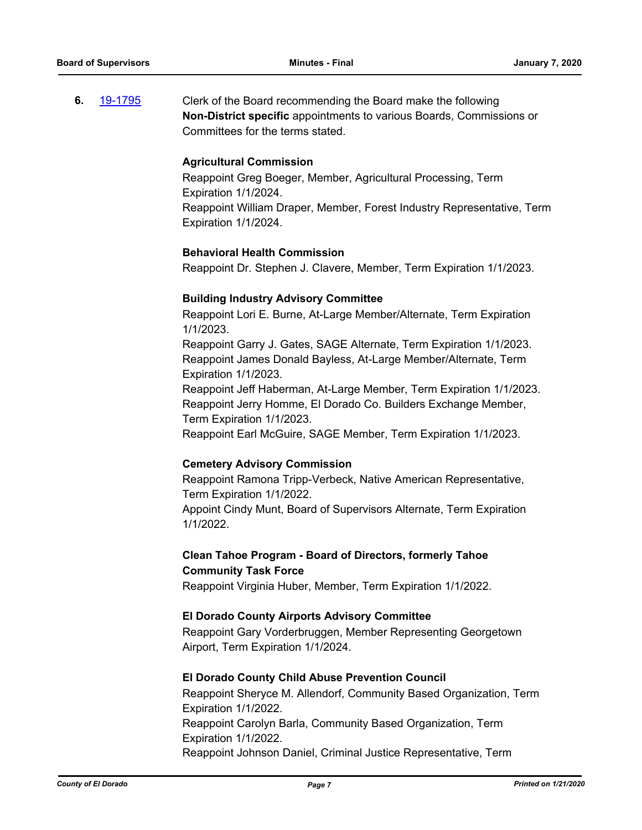**6.** [19-1795](http://eldorado.legistar.com/gateway.aspx?m=l&id=/matter.aspx?key=27119) Clerk of the Board recommending the Board make the following **Non-District specific** appointments to various Boards, Commissions or Committees for the terms stated.

### **Agricultural Commission**

Reappoint Greg Boeger, Member, Agricultural Processing, Term Expiration 1/1/2024. Reappoint William Draper, Member, Forest Industry Representative, Term Expiration 1/1/2024.

### **Behavioral Health Commission**

Reappoint Dr. Stephen J. Clavere, Member, Term Expiration 1/1/2023.

### **Building Industry Advisory Committee**

Reappoint Lori E. Burne, At-Large Member/Alternate, Term Expiration 1/1/2023.

Reappoint Garry J. Gates, SAGE Alternate, Term Expiration 1/1/2023. Reappoint James Donald Bayless, At-Large Member/Alternate, Term Expiration 1/1/2023.

Reappoint Jeff Haberman, At-Large Member, Term Expiration 1/1/2023. Reappoint Jerry Homme, El Dorado Co. Builders Exchange Member, Term Expiration 1/1/2023.

Reappoint Earl McGuire, SAGE Member, Term Expiration 1/1/2023.

#### **Cemetery Advisory Commission**

Reappoint Ramona Tripp-Verbeck, Native American Representative, Term Expiration 1/1/2022. Appoint Cindy Munt, Board of Supervisors Alternate, Term Expiration 1/1/2022.

## **Clean Tahoe Program - Board of Directors, formerly Tahoe Community Task Force**

Reappoint Virginia Huber, Member, Term Expiration 1/1/2022.

#### **El Dorado County Airports Advisory Committee**

Reappoint Gary Vorderbruggen, Member Representing Georgetown Airport, Term Expiration 1/1/2024.

#### **El Dorado County Child Abuse Prevention Council**

Reappoint Sheryce M. Allendorf, Community Based Organization, Term Expiration 1/1/2022. Reappoint Carolyn Barla, Community Based Organization, Term Expiration 1/1/2022. Reappoint Johnson Daniel, Criminal Justice Representative, Term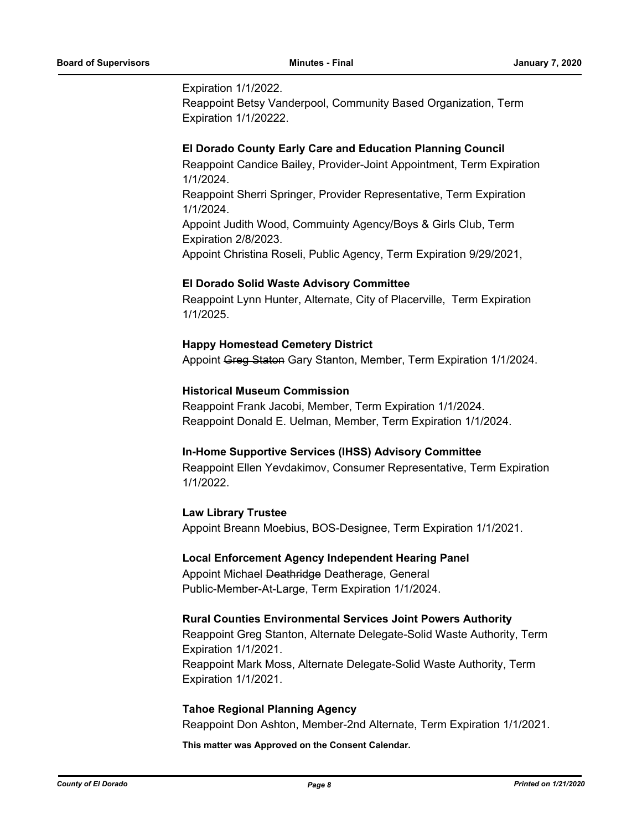Expiration 1/1/2022.

Reappoint Betsy Vanderpool, Community Based Organization, Term Expiration 1/1/20222.

### **El Dorado County Early Care and Education Planning Council**

Reappoint Candice Bailey, Provider-Joint Appointment, Term Expiration 1/1/2024. Reappoint Sherri Springer, Provider Representative, Term Expiration

1/1/2024. Appoint Judith Wood, Commuinty Agency/Boys & Girls Club, Term Expiration 2/8/2023.

Appoint Christina Roseli, Public Agency, Term Expiration 9/29/2021,

### **El Dorado Solid Waste Advisory Committee**

Reappoint Lynn Hunter, Alternate, City of Placerville, Term Expiration 1/1/2025.

### **Happy Homestead Cemetery District**

Appoint Greg Staton Gary Stanton, Member, Term Expiration 1/1/2024.

### **Historical Museum Commission**

Reappoint Frank Jacobi, Member, Term Expiration 1/1/2024. Reappoint Donald E. Uelman, Member, Term Expiration 1/1/2024.

#### **In-Home Supportive Services (IHSS) Advisory Committee**

Reappoint Ellen Yevdakimov, Consumer Representative, Term Expiration 1/1/2022.

## **Law Library Trustee**

Appoint Breann Moebius, BOS-Designee, Term Expiration 1/1/2021.

#### **Local Enforcement Agency Independent Hearing Panel**

Appoint Michael Deathridge Deatherage, General Public-Member-At-Large, Term Expiration 1/1/2024.

#### **Rural Counties Environmental Services Joint Powers Authority**

Reappoint Greg Stanton, Alternate Delegate-Solid Waste Authority, Term Expiration 1/1/2021. Reappoint Mark Moss, Alternate Delegate-Solid Waste Authority, Term Expiration 1/1/2021.

#### **Tahoe Regional Planning Agency**

Reappoint Don Ashton, Member-2nd Alternate, Term Expiration 1/1/2021.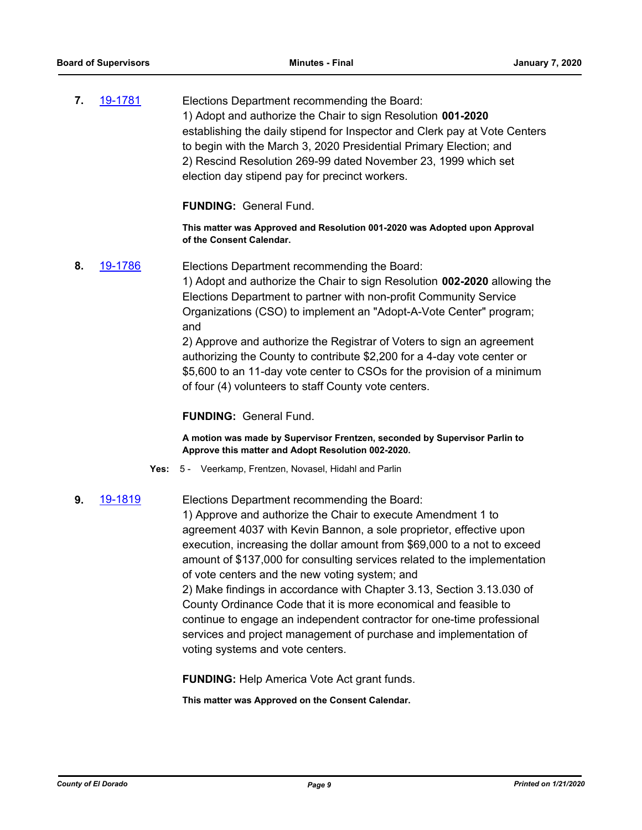**7.** [19-1781](http://eldorado.legistar.com/gateway.aspx?m=l&id=/matter.aspx?key=27105) Elections Department recommending the Board: 1) Adopt and authorize the Chair to sign Resolution **001-2020**  establishing the daily stipend for Inspector and Clerk pay at Vote Centers to begin with the March 3, 2020 Presidential Primary Election; and 2) Rescind Resolution 269-99 dated November 23, 1999 which set election day stipend pay for precinct workers.

**FUNDING:** General Fund.

**This matter was Approved and Resolution 001-2020 was Adopted upon Approval of the Consent Calendar.**

**8.** [19-1786](http://eldorado.legistar.com/gateway.aspx?m=l&id=/matter.aspx?key=27110) Elections Department recommending the Board:

1) Adopt and authorize the Chair to sign Resolution **002-2020** allowing the Elections Department to partner with non-profit Community Service Organizations (CSO) to implement an "Adopt-A-Vote Center" program; and

2) Approve and authorize the Registrar of Voters to sign an agreement authorizing the County to contribute \$2,200 for a 4-day vote center or \$5,600 to an 11-day vote center to CSOs for the provision of a minimum of four (4) volunteers to staff County vote centers.

**FUNDING:** General Fund.

**A motion was made by Supervisor Frentzen, seconded by Supervisor Parlin to Approve this matter and Adopt Resolution 002-2020.**

**Yes:** 5 - Veerkamp, Frentzen, Novasel, Hidahl and Parlin

# **9.** [19-1819](http://eldorado.legistar.com/gateway.aspx?m=l&id=/matter.aspx?key=27143) Elections Department recommending the Board:

1) Approve and authorize the Chair to execute Amendment 1 to agreement 4037 with Kevin Bannon, a sole proprietor, effective upon execution, increasing the dollar amount from \$69,000 to a not to exceed amount of \$137,000 for consulting services related to the implementation of vote centers and the new voting system; and 2) Make findings in accordance with Chapter 3.13, Section 3.13.030 of County Ordinance Code that it is more economical and feasible to continue to engage an independent contractor for one-time professional services and project management of purchase and implementation of voting systems and vote centers.

**FUNDING:** Help America Vote Act grant funds.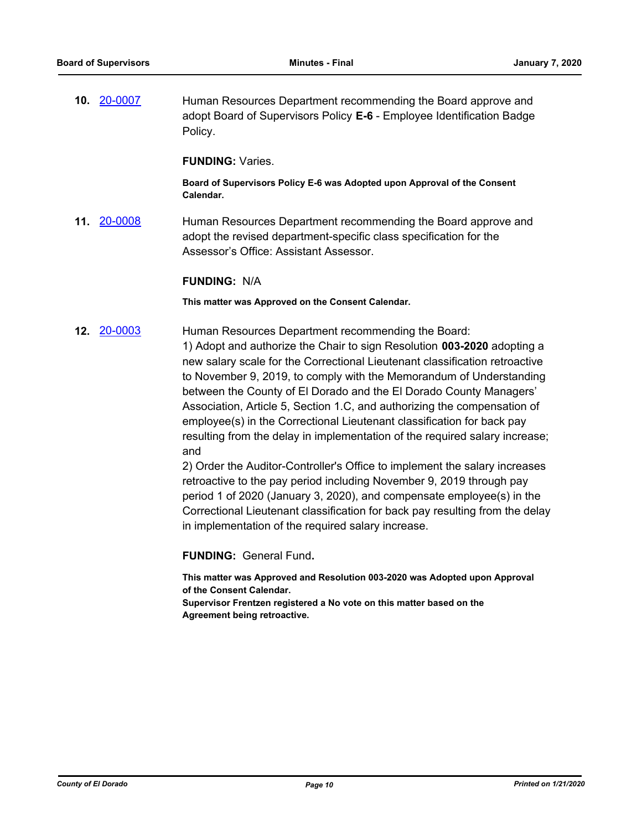**10.** [20-0007](http://eldorado.legistar.com/gateway.aspx?m=l&id=/matter.aspx?key=27211) Human Resources Department recommending the Board approve and adopt Board of Supervisors Policy **E-6** - Employee Identification Badge Policy.

**FUNDING:** Varies.

**Board of Supervisors Policy E-6 was Adopted upon Approval of the Consent Calendar.**

**11.** [20-0008](http://eldorado.legistar.com/gateway.aspx?m=l&id=/matter.aspx?key=27212) Human Resources Department recommending the Board approve and adopt the revised department-specific class specification for the Assessor's Office: Assistant Assessor.

### **FUNDING:** N/A

**This matter was Approved on the Consent Calendar.**

**12.** [20-0003](http://eldorado.legistar.com/gateway.aspx?m=l&id=/matter.aspx?key=27207) Human Resources Department recommending the Board: 1) Adopt and authorize the Chair to sign Resolution **003-2020** adopting a new salary scale for the Correctional Lieutenant classification retroactive to November 9, 2019, to comply with the Memorandum of Understanding between the County of El Dorado and the El Dorado County Managers' Association, Article 5, Section 1.C, and authorizing the compensation of employee(s) in the Correctional Lieutenant classification for back pay resulting from the delay in implementation of the required salary increase; and

2) Order the Auditor-Controller's Office to implement the salary increases retroactive to the pay period including November 9, 2019 through pay period 1 of 2020 (January 3, 2020), and compensate employee(s) in the Correctional Lieutenant classification for back pay resulting from the delay in implementation of the required salary increase.

**FUNDING:** General Fund**.**

**This matter was Approved and Resolution 003-2020 was Adopted upon Approval of the Consent Calendar.**

**Supervisor Frentzen registered a No vote on this matter based on the Agreement being retroactive.**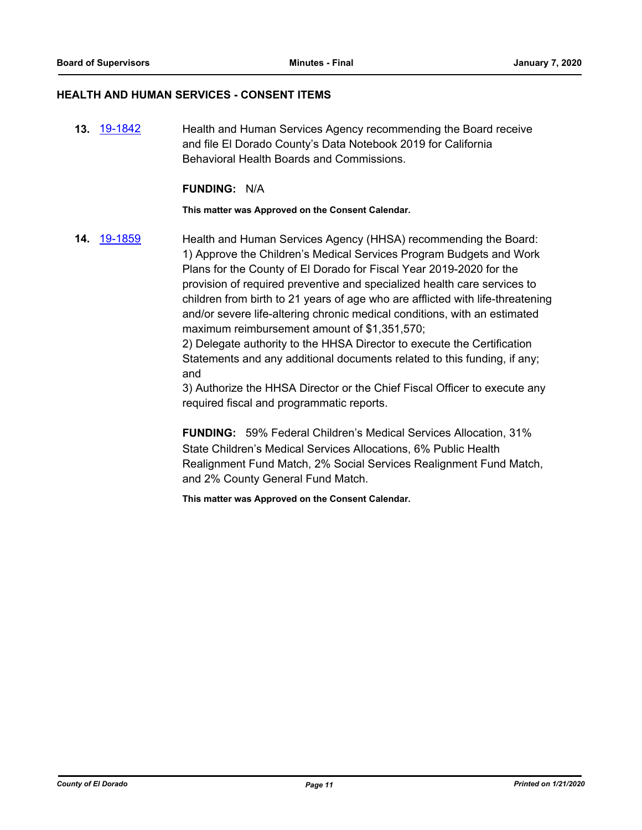## **HEALTH AND HUMAN SERVICES - CONSENT ITEMS**

**13.** [19-1842](http://eldorado.legistar.com/gateway.aspx?m=l&id=/matter.aspx?key=27166) Health and Human Services Agency recommending the Board receive and file El Dorado County's Data Notebook 2019 for California Behavioral Health Boards and Commissions.

#### **FUNDING:** N/A

#### **This matter was Approved on the Consent Calendar.**

**14.** [19-1859](http://eldorado.legistar.com/gateway.aspx?m=l&id=/matter.aspx?key=27183) Health and Human Services Agency (HHSA) recommending the Board: 1) Approve the Children's Medical Services Program Budgets and Work Plans for the County of El Dorado for Fiscal Year 2019-2020 for the provision of required preventive and specialized health care services to children from birth to 21 years of age who are afflicted with life-threatening and/or severe life-altering chronic medical conditions, with an estimated maximum reimbursement amount of \$1,351,570;

> 2) Delegate authority to the HHSA Director to execute the Certification Statements and any additional documents related to this funding, if any; and

3) Authorize the HHSA Director or the Chief Fiscal Officer to execute any required fiscal and programmatic reports.

**FUNDING:** 59% Federal Children's Medical Services Allocation, 31% State Children's Medical Services Allocations, 6% Public Health Realignment Fund Match, 2% Social Services Realignment Fund Match, and 2% County General Fund Match.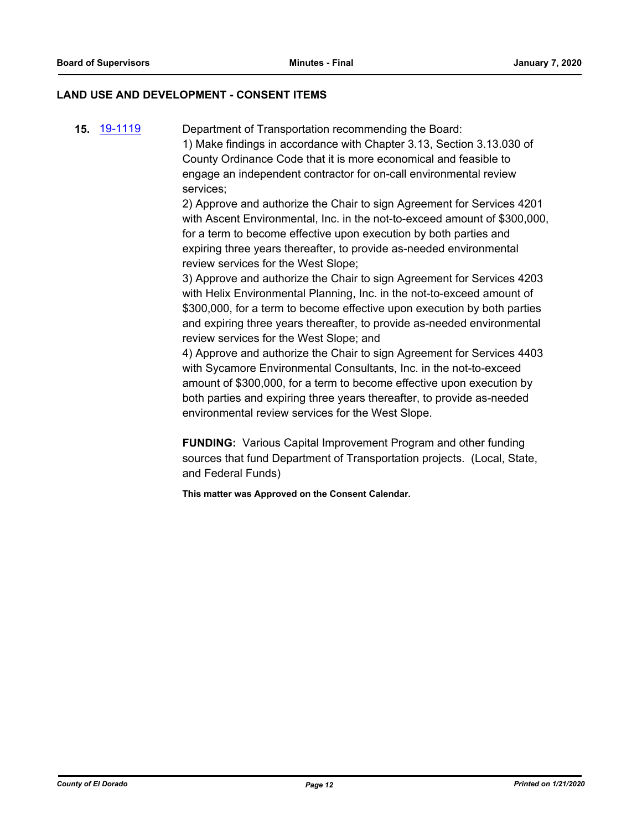#### **LAND USE AND DEVELOPMENT - CONSENT ITEMS**

**15.** [19-1119](http://eldorado.legistar.com/gateway.aspx?m=l&id=/matter.aspx?key=26441) Department of Transportation recommending the Board: 1) Make findings in accordance with Chapter 3.13, Section 3.13.030 of County Ordinance Code that it is more economical and feasible to engage an independent contractor for on-call environmental review services;

2) Approve and authorize the Chair to sign Agreement for Services 4201 with Ascent Environmental, Inc. in the not-to-exceed amount of \$300,000, for a term to become effective upon execution by both parties and expiring three years thereafter, to provide as-needed environmental review services for the West Slope;

3) Approve and authorize the Chair to sign Agreement for Services 4203 with Helix Environmental Planning, Inc. in the not-to-exceed amount of \$300,000, for a term to become effective upon execution by both parties and expiring three years thereafter, to provide as-needed environmental review services for the West Slope; and

4) Approve and authorize the Chair to sign Agreement for Services 4403 with Sycamore Environmental Consultants, Inc. in the not-to-exceed amount of \$300,000, for a term to become effective upon execution by both parties and expiring three years thereafter, to provide as-needed environmental review services for the West Slope.

**FUNDING:** Various Capital Improvement Program and other funding sources that fund Department of Transportation projects. (Local, State, and Federal Funds)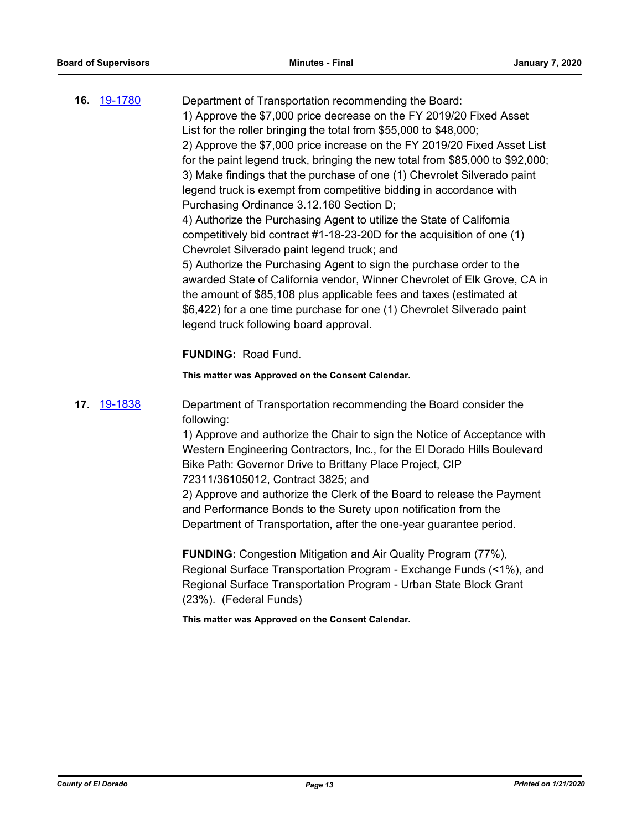|     | 16. 19-1780 | Department of Transportation recommending the Board:<br>1) Approve the \$7,000 price decrease on the FY 2019/20 Fixed Asset<br>List for the roller bringing the total from \$55,000 to \$48,000;<br>2) Approve the \$7,000 price increase on the FY 2019/20 Fixed Asset List<br>for the paint legend truck, bringing the new total from \$85,000 to \$92,000;<br>3) Make findings that the purchase of one (1) Chevrolet Silverado paint<br>legend truck is exempt from competitive bidding in accordance with<br>Purchasing Ordinance 3.12.160 Section D;<br>4) Authorize the Purchasing Agent to utilize the State of California<br>competitively bid contract #1-18-23-20D for the acquisition of one (1)<br>Chevrolet Silverado paint legend truck; and<br>5) Authorize the Purchasing Agent to sign the purchase order to the<br>awarded State of California vendor, Winner Chevrolet of Elk Grove, CA in<br>the amount of \$85,108 plus applicable fees and taxes (estimated at<br>\$6,422) for a one time purchase for one (1) Chevrolet Silverado paint<br>legend truck following board approval. |
|-----|-------------|-----------------------------------------------------------------------------------------------------------------------------------------------------------------------------------------------------------------------------------------------------------------------------------------------------------------------------------------------------------------------------------------------------------------------------------------------------------------------------------------------------------------------------------------------------------------------------------------------------------------------------------------------------------------------------------------------------------------------------------------------------------------------------------------------------------------------------------------------------------------------------------------------------------------------------------------------------------------------------------------------------------------------------------------------------------------------------------------------------------|
|     |             | <b>FUNDING: Road Fund.</b>                                                                                                                                                                                                                                                                                                                                                                                                                                                                                                                                                                                                                                                                                                                                                                                                                                                                                                                                                                                                                                                                                |
|     |             | This matter was Approved on the Consent Calendar.                                                                                                                                                                                                                                                                                                                                                                                                                                                                                                                                                                                                                                                                                                                                                                                                                                                                                                                                                                                                                                                         |
| 17. | 19-1838     | Department of Transportation recommending the Board consider the<br>following:<br>1) Approve and authorize the Chair to sign the Notice of Acceptance with<br>Western Engineering Contractors, Inc., for the El Dorado Hills Boulevard<br>Bike Path: Governor Drive to Brittany Place Project, CIP<br>72311/36105012, Contract 3825; and<br>2) Approve and authorize the Clerk of the Board to release the Payment<br>and Performance Bonds to the Surety upon notification from the<br>Department of Transportation, after the one-year guarantee period.<br><b>FUNDING:</b> Congestion Mitigation and Air Quality Program (77%),<br>Regional Surface Transportation Program - Exchange Funds (<1%), and<br>Regional Surface Transportation Program - Urban State Block Grant<br>(23%). (Federal Funds)<br>This matter was Approved on the Consent Calendar.                                                                                                                                                                                                                                             |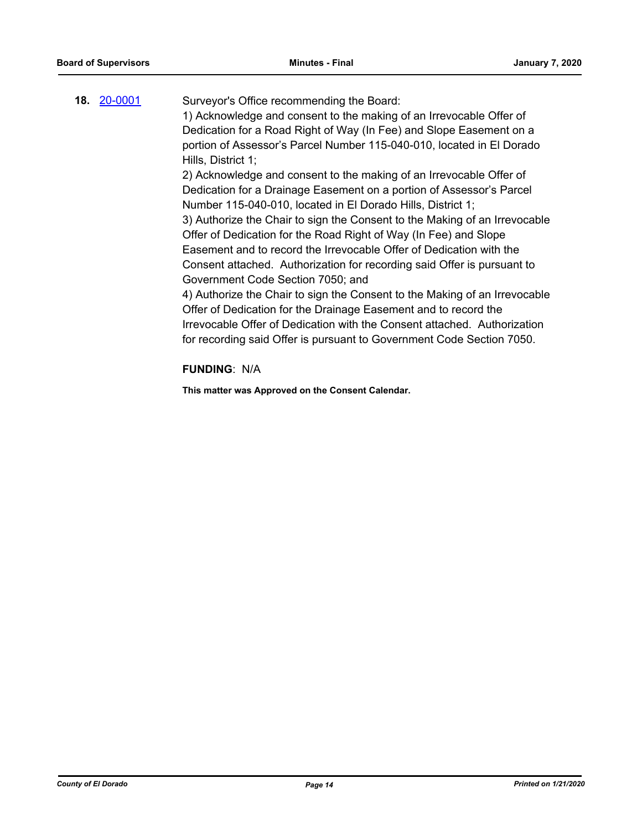|  | 18. 20-0001 | Surveyor's Office recommending the Board:                                  |
|--|-------------|----------------------------------------------------------------------------|
|  |             | 1) Acknowledge and consent to the making of an Irrevocable Offer of        |
|  |             | Dedication for a Road Right of Way (In Fee) and Slope Easement on a        |
|  |             | portion of Assessor's Parcel Number 115-040-010, located in El Dorado      |
|  |             | Hills, District 1;                                                         |
|  |             | 2) Acknowledge and consent to the making of an Irrevocable Offer of        |
|  |             | Dedication for a Drainage Easement on a portion of Assessor's Parcel       |
|  |             | Number 115-040-010, located in El Dorado Hills, District 1;                |
|  |             | 3) Authorize the Chair to sign the Consent to the Making of an Irrevocable |
|  |             | Offer of Dedication for the Road Right of Way (In Fee) and Slope           |
|  |             | Easement and to record the Irrevocable Offer of Dedication with the        |
|  |             | Consent attached. Authorization for recording said Offer is pursuant to    |
|  |             | Government Code Section 7050; and                                          |
|  |             | 4) Authorize the Chair to sign the Consent to the Making of an Irrevocable |
|  |             | Offer of Dedication for the Drainage Easement and to record the            |
|  |             | Irrevocable Offer of Dedication with the Consent attached. Authorization   |
|  |             | for recording said Offer is pursuant to Government Code Section 7050.      |
|  |             | FIININIA. NIA                                                              |

## **FUNDING**: N/A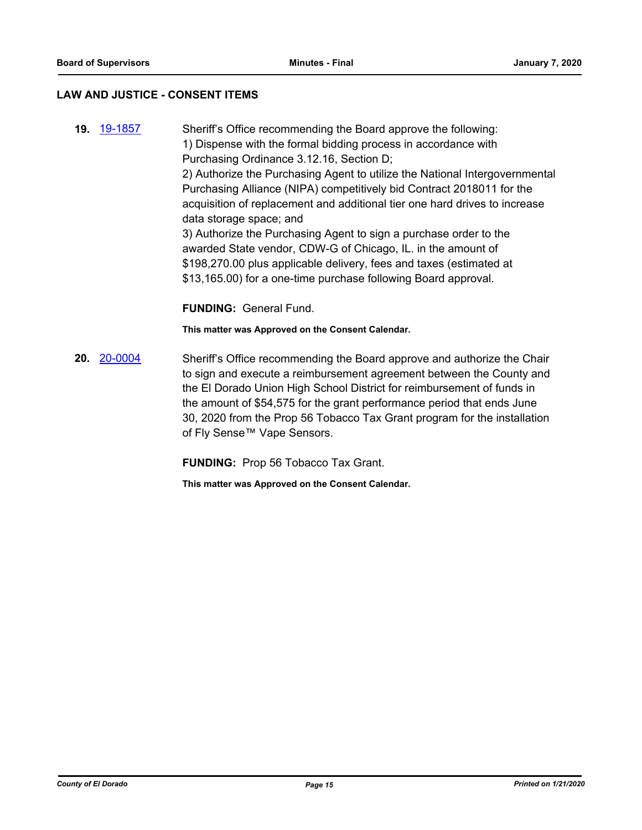#### **LAW AND JUSTICE - CONSENT ITEMS**

**19.** [19-1857](http://eldorado.legistar.com/gateway.aspx?m=l&id=/matter.aspx?key=27181) Sheriff's Office recommending the Board approve the following: 1) Dispense with the formal bidding process in accordance with Purchasing Ordinance 3.12.16, Section D; 2) Authorize the Purchasing Agent to utilize the National Intergovernmental Purchasing Alliance (NIPA) competitively bid Contract 2018011 for the acquisition of replacement and additional tier one hard drives to increase data storage space; and 3) Authorize the Purchasing Agent to sign a purchase order to the awarded State vendor, CDW-G of Chicago, IL. in the amount of \$198,270.00 plus applicable delivery, fees and taxes (estimated at \$13,165.00) for a one-time purchase following Board approval. **FUNDING:** General Fund.

**This matter was Approved on the Consent Calendar.**

**20.** [20-0004](http://eldorado.legistar.com/gateway.aspx?m=l&id=/matter.aspx?key=27208) Sheriff's Office recommending the Board approve and authorize the Chair to sign and execute a reimbursement agreement between the County and the El Dorado Union High School District for reimbursement of funds in the amount of \$54,575 for the grant performance period that ends June 30, 2020 from the Prop 56 Tobacco Tax Grant program for the installation of Fly Sense™ Vape Sensors.

**FUNDING:** Prop 56 Tobacco Tax Grant.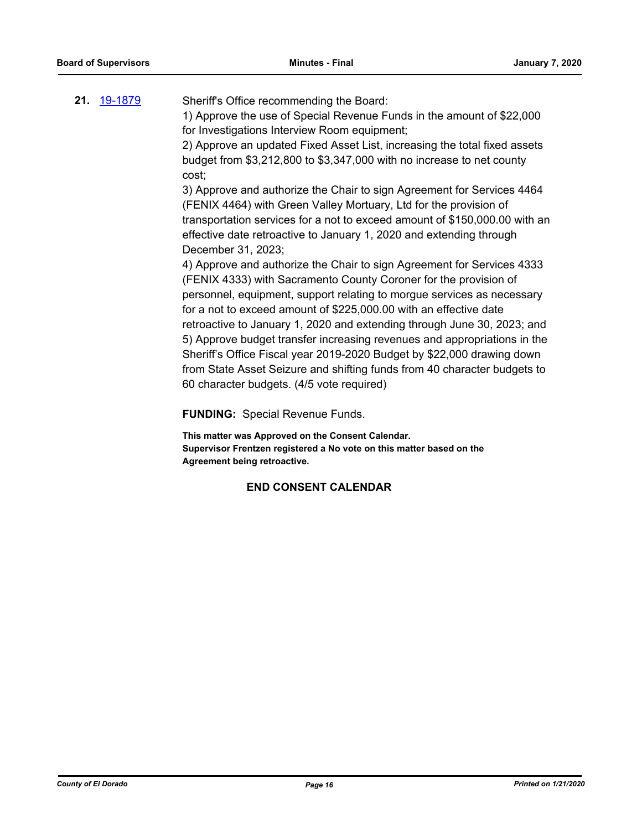| 21. 19-1879 | Sheriff's Office recommending the Board:                                  |
|-------------|---------------------------------------------------------------------------|
|             | 1) Approve the use of Special Revenue Funds in the amount of \$22,000     |
|             | for Investigations Interview Room equipment;                              |
|             | 2) Approve an updated Fixed Asset List, increasing the total fixed assets |

budget from \$3,212,800 to \$3,347,000 with no increase to net county cost;

3) Approve and authorize the Chair to sign Agreement for Services 4464 (FENIX 4464) with Green Valley Mortuary, Ltd for the provision of transportation services for a not to exceed amount of \$150,000.00 with an effective date retroactive to January 1, 2020 and extending through December 31, 2023;

4) Approve and authorize the Chair to sign Agreement for Services 4333 (FENIX 4333) with Sacramento County Coroner for the provision of personnel, equipment, support relating to morgue services as necessary for a not to exceed amount of \$225,000.00 with an effective date retroactive to January 1, 2020 and extending through June 30, 2023; and 5) Approve budget transfer increasing revenues and appropriations in the Sheriff's Office Fiscal year 2019-2020 Budget by \$22,000 drawing down from State Asset Seizure and shifting funds from 40 character budgets to 60 character budgets. (4/5 vote required)

**FUNDING:** Special Revenue Funds.

**This matter was Approved on the Consent Calendar. Supervisor Frentzen registered a No vote on this matter based on the Agreement being retroactive.**

## **END CONSENT CALENDAR**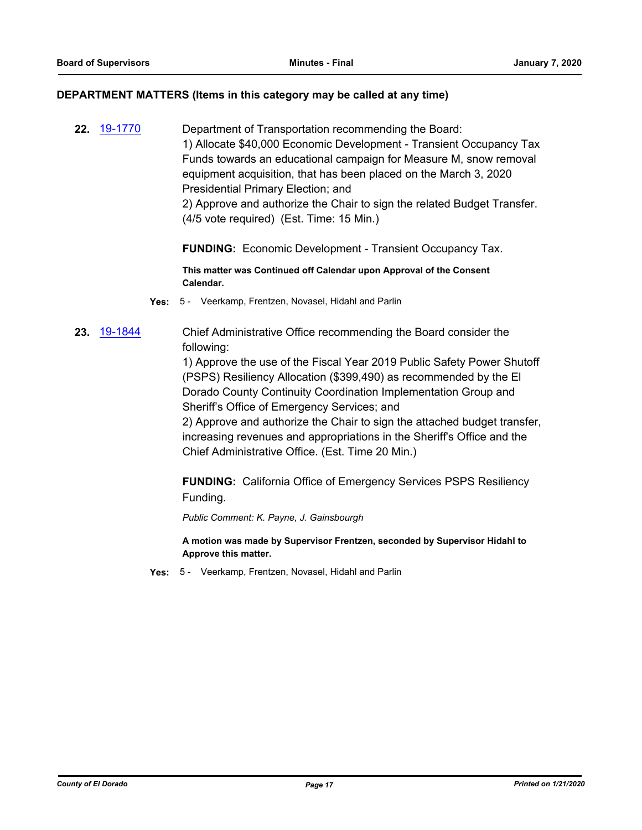#### **DEPARTMENT MATTERS (Items in this category may be called at any time)**

**22.** [19-1770](http://eldorado.legistar.com/gateway.aspx?m=l&id=/matter.aspx?key=27094) Department of Transportation recommending the Board: 1) Allocate \$40,000 Economic Development - Transient Occupancy Tax Funds towards an educational campaign for Measure M, snow removal equipment acquisition, that has been placed on the March 3, 2020 Presidential Primary Election; and 2) Approve and authorize the Chair to sign the related Budget Transfer.

**FUNDING:** Economic Development - Transient Occupancy Tax.

**This matter was Continued off Calendar upon Approval of the Consent Calendar.**

**Yes:** 5 - Veerkamp, Frentzen, Novasel, Hidahl and Parlin

(4/5 vote required) (Est. Time: 15 Min.)

**23.** [19-1844](http://eldorado.legistar.com/gateway.aspx?m=l&id=/matter.aspx?key=27168) Chief Administrative Office recommending the Board consider the following:

> 1) Approve the use of the Fiscal Year 2019 Public Safety Power Shutoff (PSPS) Resiliency Allocation (\$399,490) as recommended by the El Dorado County Continuity Coordination Implementation Group and Sheriff's Office of Emergency Services; and

> 2) Approve and authorize the Chair to sign the attached budget transfer, increasing revenues and appropriations in the Sheriff's Office and the Chief Administrative Office. (Est. Time 20 Min.)

**FUNDING:** California Office of Emergency Services PSPS Resiliency Funding.

*Public Comment: K. Payne, J. Gainsbourgh*

**A motion was made by Supervisor Frentzen, seconded by Supervisor Hidahl to Approve this matter.**

**Yes:** 5 - Veerkamp, Frentzen, Novasel, Hidahl and Parlin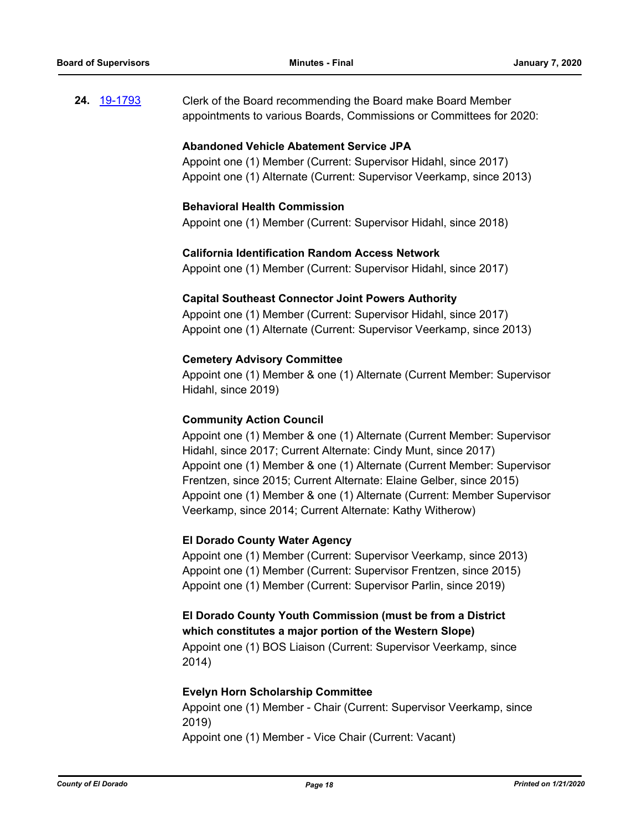**24.** [19-1793](http://eldorado.legistar.com/gateway.aspx?m=l&id=/matter.aspx?key=27117) Clerk of the Board recommending the Board make Board Member appointments to various Boards, Commissions or Committees for 2020:

## **Abandoned Vehicle Abatement Service JPA**

Appoint one (1) Member (Current: Supervisor Hidahl, since 2017) Appoint one (1) Alternate (Current: Supervisor Veerkamp, since 2013)

## **Behavioral Health Commission**

Appoint one (1) Member (Current: Supervisor Hidahl, since 2018)

### **California Identification Random Access Network**

Appoint one (1) Member (Current: Supervisor Hidahl, since 2017)

### **Capital Southeast Connector Joint Powers Authority**

Appoint one (1) Member (Current: Supervisor Hidahl, since 2017) Appoint one (1) Alternate (Current: Supervisor Veerkamp, since 2013)

## **Cemetery Advisory Committee**

Appoint one (1) Member & one (1) Alternate (Current Member: Supervisor Hidahl, since 2019)

## **Community Action Council**

Appoint one (1) Member & one (1) Alternate (Current Member: Supervisor Hidahl, since 2017; Current Alternate: Cindy Munt, since 2017) Appoint one (1) Member & one (1) Alternate (Current Member: Supervisor Frentzen, since 2015; Current Alternate: Elaine Gelber, since 2015) Appoint one (1) Member & one (1) Alternate (Current: Member Supervisor Veerkamp, since 2014; Current Alternate: Kathy Witherow)

## **El Dorado County Water Agency**

Appoint one (1) Member (Current: Supervisor Veerkamp, since 2013) Appoint one (1) Member (Current: Supervisor Frentzen, since 2015) Appoint one (1) Member (Current: Supervisor Parlin, since 2019)

# **El Dorado County Youth Commission (must be from a District which constitutes a major portion of the Western Slope)**

Appoint one (1) BOS Liaison (Current: Supervisor Veerkamp, since 2014)

#### **Evelyn Horn Scholarship Committee**

Appoint one (1) Member - Chair (Current: Supervisor Veerkamp, since 2019)

Appoint one (1) Member - Vice Chair (Current: Vacant)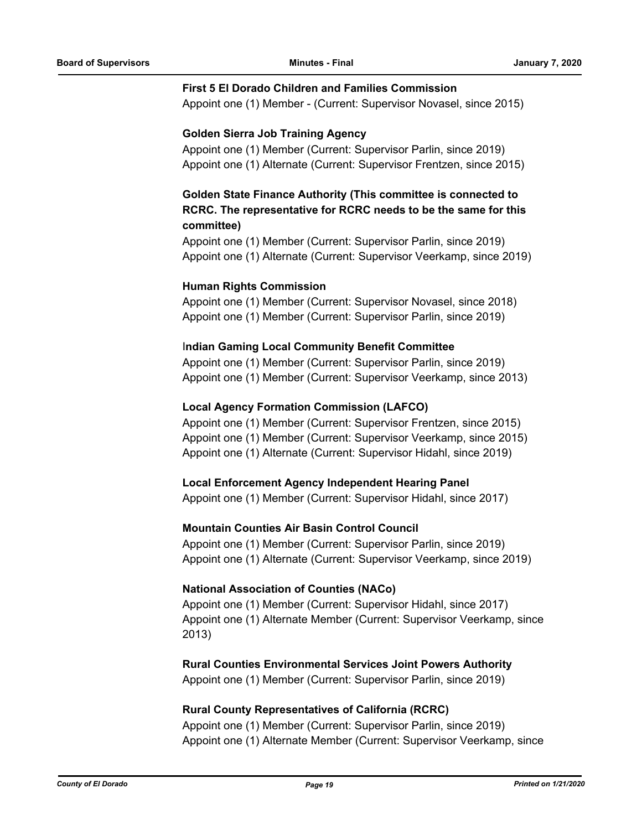#### **First 5 El Dorado Children and Families Commission**

Appoint one (1) Member - (Current: Supervisor Novasel, since 2015)

## **Golden Sierra Job Training Agency**

Appoint one (1) Member (Current: Supervisor Parlin, since 2019) Appoint one (1) Alternate (Current: Supervisor Frentzen, since 2015)

# **Golden State Finance Authority (This committee is connected to RCRC. The representative for RCRC needs to be the same for this committee)**

Appoint one (1) Member (Current: Supervisor Parlin, since 2019) Appoint one (1) Alternate (Current: Supervisor Veerkamp, since 2019)

## **Human Rights Commission**

Appoint one (1) Member (Current: Supervisor Novasel, since 2018) Appoint one (1) Member (Current: Supervisor Parlin, since 2019)

## I**ndian Gaming Local Community Benefit Committee**

Appoint one (1) Member (Current: Supervisor Parlin, since 2019) Appoint one (1) Member (Current: Supervisor Veerkamp, since 2013)

## **Local Agency Formation Commission (LAFCO)**

Appoint one (1) Member (Current: Supervisor Frentzen, since 2015) Appoint one (1) Member (Current: Supervisor Veerkamp, since 2015) Appoint one (1) Alternate (Current: Supervisor Hidahl, since 2019)

#### **Local Enforcement Agency Independent Hearing Panel**

Appoint one (1) Member (Current: Supervisor Hidahl, since 2017)

#### **Mountain Counties Air Basin Control Council**

Appoint one (1) Member (Current: Supervisor Parlin, since 2019) Appoint one (1) Alternate (Current: Supervisor Veerkamp, since 2019)

#### **National Association of Counties (NACo)**

Appoint one (1) Member (Current: Supervisor Hidahl, since 2017) Appoint one (1) Alternate Member (Current: Supervisor Veerkamp, since 2013)

#### **Rural Counties Environmental Services Joint Powers Authority**

Appoint one (1) Member (Current: Supervisor Parlin, since 2019)

## **Rural County Representatives of California (RCRC)**

Appoint one (1) Member (Current: Supervisor Parlin, since 2019) Appoint one (1) Alternate Member (Current: Supervisor Veerkamp, since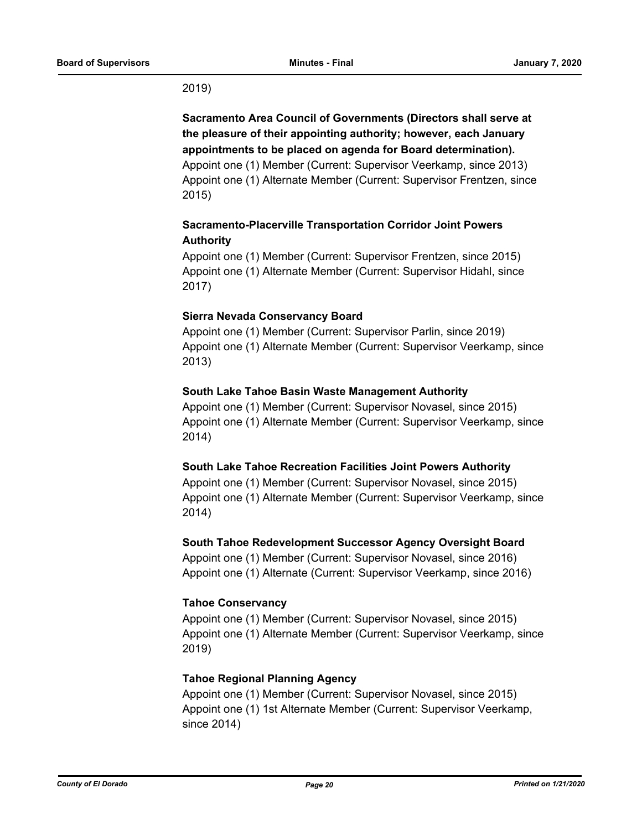## 2019)

**Sacramento Area Council of Governments (Directors shall serve at the pleasure of their appointing authority; however, each January appointments to be placed on agenda for Board determination).**  Appoint one (1) Member (Current: Supervisor Veerkamp, since 2013) Appoint one (1) Alternate Member (Current: Supervisor Frentzen, since 2015)

# **Sacramento-Placerville Transportation Corridor Joint Powers Authority**

Appoint one (1) Member (Current: Supervisor Frentzen, since 2015) Appoint one (1) Alternate Member (Current: Supervisor Hidahl, since 2017)

## **Sierra Nevada Conservancy Board**

Appoint one (1) Member (Current: Supervisor Parlin, since 2019) Appoint one (1) Alternate Member (Current: Supervisor Veerkamp, since 2013)

## **South Lake Tahoe Basin Waste Management Authority**

Appoint one (1) Member (Current: Supervisor Novasel, since 2015) Appoint one (1) Alternate Member (Current: Supervisor Veerkamp, since 2014)

## **South Lake Tahoe Recreation Facilities Joint Powers Authority**

Appoint one (1) Member (Current: Supervisor Novasel, since 2015) Appoint one (1) Alternate Member (Current: Supervisor Veerkamp, since 2014)

## **South Tahoe Redevelopment Successor Agency Oversight Board**

Appoint one (1) Member (Current: Supervisor Novasel, since 2016) Appoint one (1) Alternate (Current: Supervisor Veerkamp, since 2016)

## **Tahoe Conservancy**

Appoint one (1) Member (Current: Supervisor Novasel, since 2015) Appoint one (1) Alternate Member (Current: Supervisor Veerkamp, since 2019)

## **Tahoe Regional Planning Agency**

Appoint one (1) Member (Current: Supervisor Novasel, since 2015) Appoint one (1) 1st Alternate Member (Current: Supervisor Veerkamp, since 2014)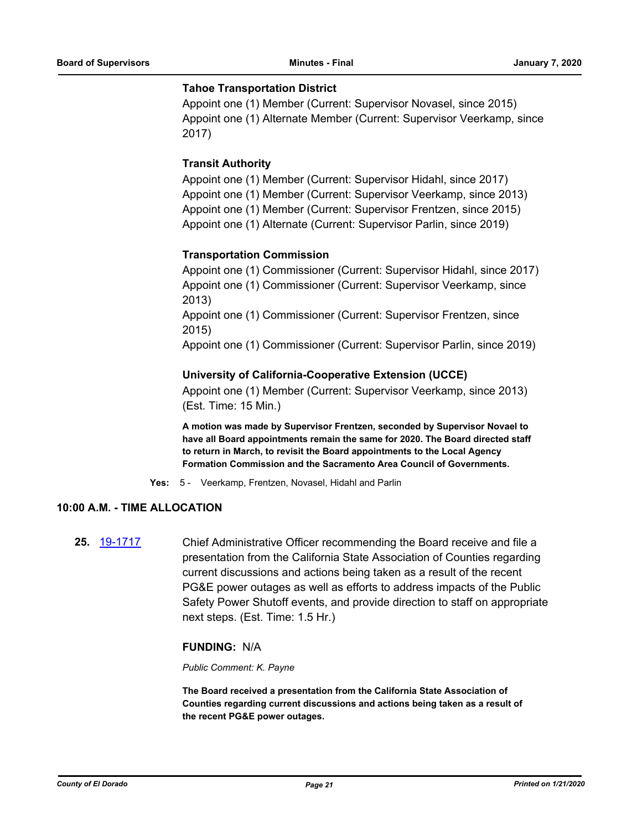#### **Tahoe Transportation District**

Appoint one (1) Member (Current: Supervisor Novasel, since 2015) Appoint one (1) Alternate Member (Current: Supervisor Veerkamp, since 2017)

## **Transit Authority**

Appoint one (1) Member (Current: Supervisor Hidahl, since 2017) Appoint one (1) Member (Current: Supervisor Veerkamp, since 2013) Appoint one (1) Member (Current: Supervisor Frentzen, since 2015) Appoint one (1) Alternate (Current: Supervisor Parlin, since 2019)

## **Transportation Commission**

Appoint one (1) Commissioner (Current: Supervisor Hidahl, since 2017) Appoint one (1) Commissioner (Current: Supervisor Veerkamp, since 2013) Appoint one (1) Commissioner (Current: Supervisor Frentzen, since 2015) Appoint one (1) Commissioner (Current: Supervisor Parlin, since 2019)

### **University of California-Cooperative Extension (UCCE)**

Appoint one (1) Member (Current: Supervisor Veerkamp, since 2013) (Est. Time: 15 Min.)

**A motion was made by Supervisor Frentzen, seconded by Supervisor Novael to have all Board appointments remain the same for 2020. The Board directed staff to return in March, to revisit the Board appointments to the Local Agency Formation Commission and the Sacramento Area Council of Governments.**

**Yes:** 5 - Veerkamp, Frentzen, Novasel, Hidahl and Parlin

## **10:00 A.M. - TIME ALLOCATION**

**25.** [19-1717](http://eldorado.legistar.com/gateway.aspx?m=l&id=/matter.aspx?key=27041) Chief Administrative Officer recommending the Board receive and file a presentation from the California State Association of Counties regarding current discussions and actions being taken as a result of the recent PG&E power outages as well as efforts to address impacts of the Public Safety Power Shutoff events, and provide direction to staff on appropriate next steps. (Est. Time: 1.5 Hr.)

## **FUNDING:** N/A

#### *Public Comment: K. Payne*

**The Board received a presentation from the California State Association of Counties regarding current discussions and actions being taken as a result of the recent PG&E power outages.**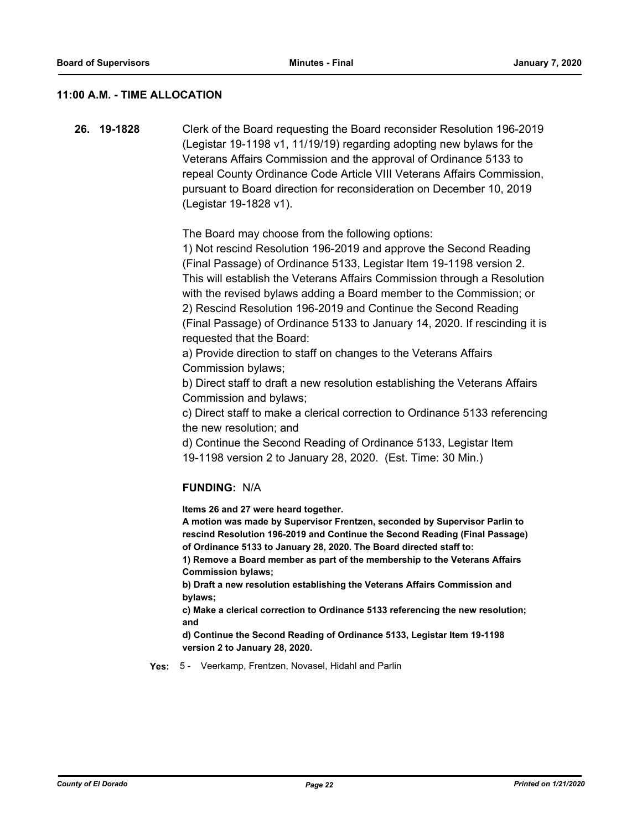## **11:00 A.M. - TIME ALLOCATION**

**26. 19-1828** Clerk of the Board requesting the Board reconsider Resolution 196-2019 (Legistar 19-1198 v1, 11/19/19) regarding adopting new bylaws for the Veterans Affairs Commission and the approval of Ordinance 5133 to repeal County Ordinance Code Article VIII Veterans Affairs Commission, pursuant to Board direction for reconsideration on December 10, 2019 (Legistar 19-1828 v1).

The Board may choose from the following options:

1) Not rescind Resolution 196-2019 and approve the Second Reading (Final Passage) of Ordinance 5133, Legistar Item 19-1198 version 2. This will establish the Veterans Affairs Commission through a Resolution with the revised bylaws adding a Board member to the Commission; or 2) Rescind Resolution 196-2019 and Continue the Second Reading (Final Passage) of Ordinance 5133 to January 14, 2020. If rescinding it is requested that the Board:

a) Provide direction to staff on changes to the Veterans Affairs Commission bylaws;

b) Direct staff to draft a new resolution establishing the Veterans Affairs Commission and bylaws;

c) Direct staff to make a clerical correction to Ordinance 5133 referencing the new resolution; and

d) Continue the Second Reading of Ordinance 5133, Legistar Item 19-1198 version 2 to January 28, 2020. (Est. Time: 30 Min.)

## **FUNDING:** N/A

**Items 26 and 27 were heard together.** 

**A motion was made by Supervisor Frentzen, seconded by Supervisor Parlin to rescind Resolution 196-2019 and Continue the Second Reading (Final Passage) of Ordinance 5133 to January 28, 2020. The Board directed staff to:**

**1) Remove a Board member as part of the membership to the Veterans Affairs Commission bylaws;**

**b) Draft a new resolution establishing the Veterans Affairs Commission and bylaws;** 

**c) Make a clerical correction to Ordinance 5133 referencing the new resolution; and**

**d) Continue the Second Reading of Ordinance 5133, Legistar Item 19-1198 version 2 to January 28, 2020.**

**Yes:** 5 - Veerkamp, Frentzen, Novasel, Hidahl and Parlin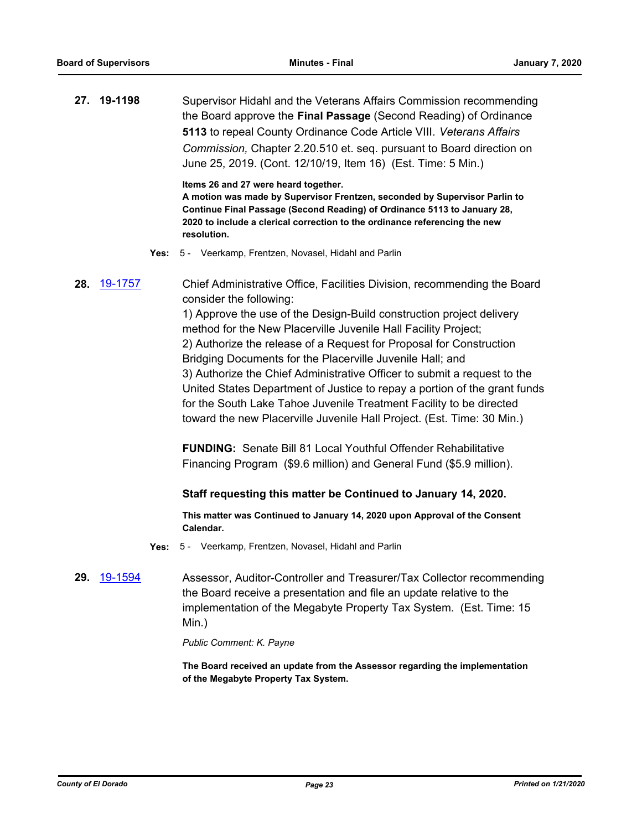**27. 19-1198** Supervisor Hidahl and the Veterans Affairs Commission recommending the Board approve the **Final Passage** (Second Reading) of Ordinance **5113** to repeal County Ordinance Code Article VIII. *Veterans Affairs Commission,* Chapter 2.20.510 et. seq. pursuant to Board direction on June 25, 2019. (Cont. 12/10/19, Item 16) (Est. Time: 5 Min.)

**Items 26 and 27 were heard together.** 

**A motion was made by Supervisor Frentzen, seconded by Supervisor Parlin to Continue Final Passage (Second Reading) of Ordinance 5113 to January 28, 2020 to include a clerical correction to the ordinance referencing the new resolution.**

**Yes:** 5 - Veerkamp, Frentzen, Novasel, Hidahl and Parlin

**28.** [19-1757](http://eldorado.legistar.com/gateway.aspx?m=l&id=/matter.aspx?key=27081) Chief Administrative Office, Facilities Division, recommending the Board consider the following:

> 1) Approve the use of the Design-Build construction project delivery method for the New Placerville Juvenile Hall Facility Project; 2) Authorize the release of a Request for Proposal for Construction Bridging Documents for the Placerville Juvenile Hall; and 3) Authorize the Chief Administrative Officer to submit a request to the United States Department of Justice to repay a portion of the grant funds for the South Lake Tahoe Juvenile Treatment Facility to be directed toward the new Placerville Juvenile Hall Project. (Est. Time: 30 Min.)

**FUNDING:** Senate Bill 81 Local Youthful Offender Rehabilitative Financing Program (\$9.6 million) and General Fund (\$5.9 million).

#### **Staff requesting this matter be Continued to January 14, 2020.**

**This matter was Continued to January 14, 2020 upon Approval of the Consent Calendar.**

- **Yes:** 5 Veerkamp, Frentzen, Novasel, Hidahl and Parlin
- **29.** [19-1594](http://eldorado.legistar.com/gateway.aspx?m=l&id=/matter.aspx?key=26918) Assessor, Auditor-Controller and Treasurer/Tax Collector recommending the Board receive a presentation and file an update relative to the implementation of the Megabyte Property Tax System. (Est. Time: 15 Min.)

*Public Comment: K. Payne*

**The Board received an update from the Assessor regarding the implementation of the Megabyte Property Tax System.**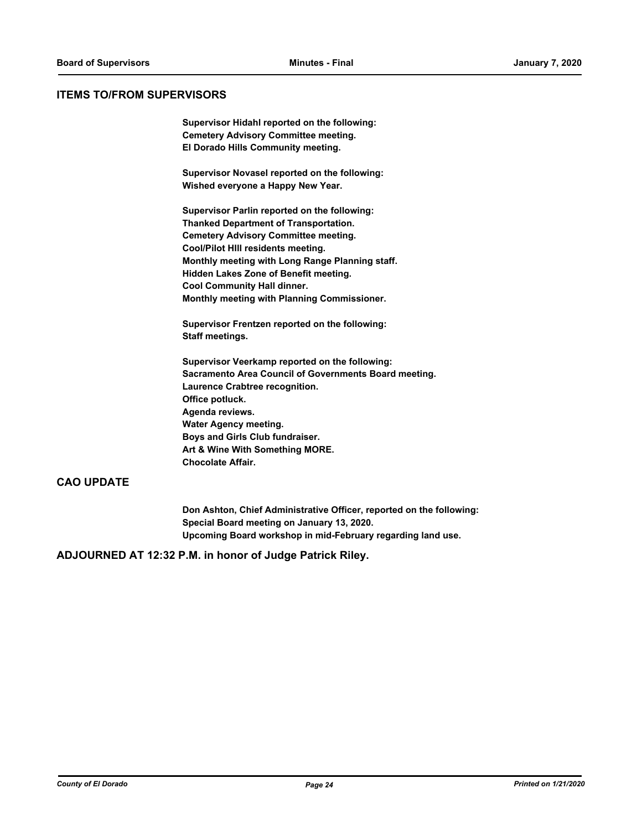#### **ITEMS TO/FROM SUPERVISORS**

**Supervisor Hidahl reported on the following: Cemetery Advisory Committee meeting. El Dorado Hills Community meeting.**

**Supervisor Novasel reported on the following: Wished everyone a Happy New Year.**

**Supervisor Parlin reported on the following: Thanked Department of Transportation. Cemetery Advisory Committee meeting. Cool/Pilot HIll residents meeting. Monthly meeting with Long Range Planning staff. Hidden Lakes Zone of Benefit meeting. Cool Community Hall dinner. Monthly meeting with Planning Commissioner.**

**Supervisor Frentzen reported on the following: Staff meetings.**

**Supervisor Veerkamp reported on the following: Sacramento Area Council of Governments Board meeting. Laurence Crabtree recognition. Office potluck. Agenda reviews. Water Agency meeting. Boys and Girls Club fundraiser. Art & Wine With Something MORE. Chocolate Affair.**

## **CAO UPDATE**

**Don Ashton, Chief Administrative Officer, reported on the following: Special Board meeting on January 13, 2020. Upcoming Board workshop in mid-February regarding land use.**

#### **ADJOURNED AT 12:32 P.M. in honor of Judge Patrick Riley.**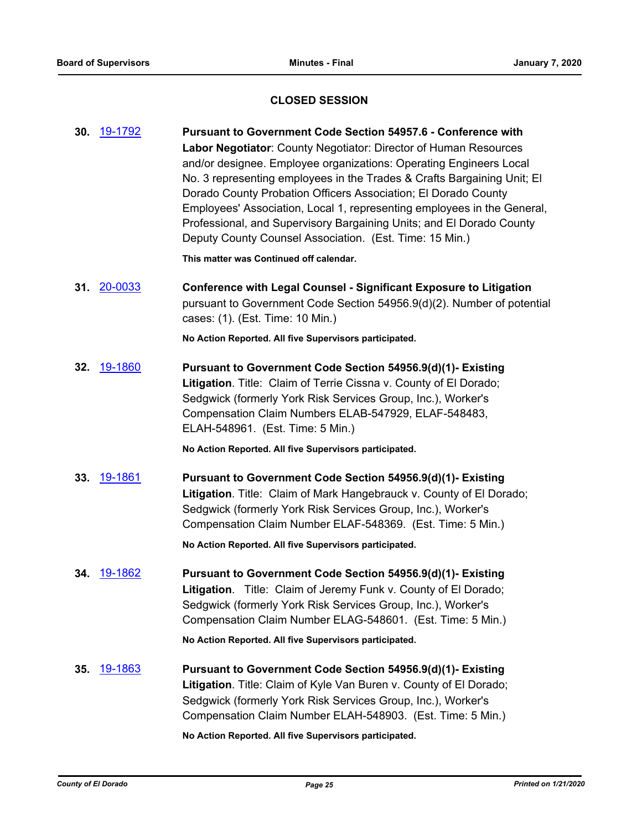## **CLOSED SESSION**

**30.** [19-1792](http://eldorado.legistar.com/gateway.aspx?m=l&id=/matter.aspx?key=27116) **Pursuant to Government Code Section 54957.6 - Conference with Labor Negotiator**: County Negotiator: Director of Human Resources and/or designee. Employee organizations: Operating Engineers Local No. 3 representing employees in the Trades & Crafts Bargaining Unit; El Dorado County Probation Officers Association; El Dorado County Employees' Association, Local 1, representing employees in the General, Professional, and Supervisory Bargaining Units; and El Dorado County Deputy County Counsel Association. (Est. Time: 15 Min.) **This matter was Continued off calendar. 31.** [20-0033](http://eldorado.legistar.com/gateway.aspx?m=l&id=/matter.aspx?key=27237) **Conference with Legal Counsel - Significant Exposure to Litigation** pursuant to Government Code Section 54956.9(d)(2). Number of potential cases: (1). (Est. Time: 10 Min.) **No Action Reported. All five Supervisors participated. 32.** [19-1860](http://eldorado.legistar.com/gateway.aspx?m=l&id=/matter.aspx?key=27184) **Pursuant to Government Code Section 54956.9(d)(1)- Existing Litigation**. Title: Claim of Terrie Cissna v. County of El Dorado; Sedgwick (formerly York Risk Services Group, Inc.), Worker's Compensation Claim Numbers ELAB-547929, ELAF-548483, ELAH-548961. (Est. Time: 5 Min.) **No Action Reported. All five Supervisors participated. 33.** [19-1861](http://eldorado.legistar.com/gateway.aspx?m=l&id=/matter.aspx?key=27185) **Pursuant to Government Code Section 54956.9(d)(1)- Existing Litigation**. Title: Claim of Mark Hangebrauck v. County of El Dorado; Sedgwick (formerly York Risk Services Group, Inc.), Worker's Compensation Claim Number ELAF-548369. (Est. Time: 5 Min.) **No Action Reported. All five Supervisors participated. 34.** [19-1862](http://eldorado.legistar.com/gateway.aspx?m=l&id=/matter.aspx?key=27186) **Pursuant to Government Code Section 54956.9(d)(1)- Existing Litigation**. Title: Claim of Jeremy Funk v. County of El Dorado; Sedgwick (formerly York Risk Services Group, Inc.), Worker's Compensation Claim Number ELAG-548601. (Est. Time: 5 Min.) **No Action Reported. All five Supervisors participated. 35.** [19-1863](http://eldorado.legistar.com/gateway.aspx?m=l&id=/matter.aspx?key=27187) **Pursuant to Government Code Section 54956.9(d)(1)- Existing Litigation**. Title: Claim of Kyle Van Buren v. County of El Dorado; Sedgwick (formerly York Risk Services Group, Inc.), Worker's Compensation Claim Number ELAH-548903. (Est. Time: 5 Min.) **No Action Reported. All five Supervisors participated.**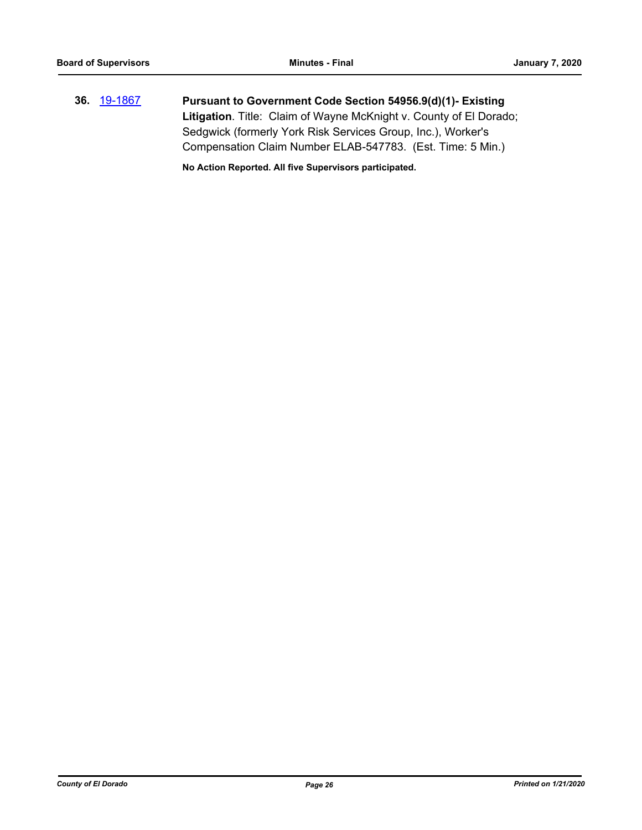**36.** [19-1867](http://eldorado.legistar.com/gateway.aspx?m=l&id=/matter.aspx?key=27191) **Pursuant to Government Code Section 54956.9(d)(1)- Existing Litigation**. Title: Claim of Wayne McKnight v. County of El Dorado; Sedgwick (formerly York Risk Services Group, Inc.), Worker's Compensation Claim Number ELAB-547783. (Est. Time: 5 Min.)

**No Action Reported. All five Supervisors participated.**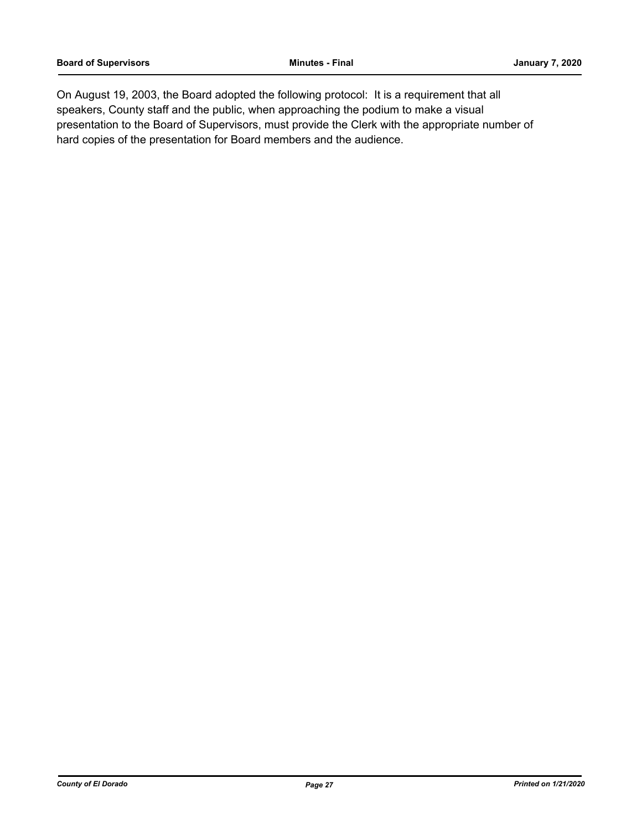On August 19, 2003, the Board adopted the following protocol: It is a requirement that all speakers, County staff and the public, when approaching the podium to make a visual presentation to the Board of Supervisors, must provide the Clerk with the appropriate number of hard copies of the presentation for Board members and the audience.